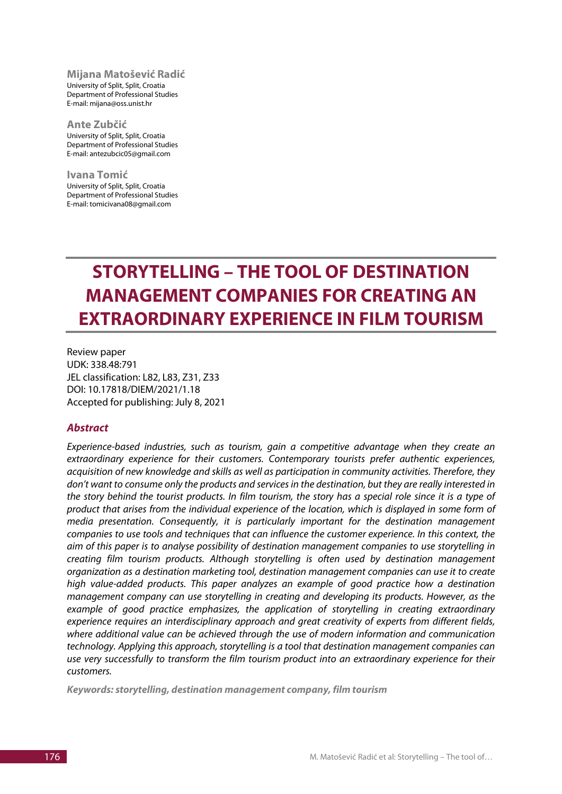#### **Mijana Matošević Radić**

University of Split, Split, Croatia Department of Professional Studies E-mail: mijana@oss.unist.hr

**Ante Zubčić** University of Split, Split, Croatia Department of Professional Studies E-mail: antezubcic05@gmail.com

**Ivana Tomić** University of Split, Split, Croatia Department of Professional Studies E-mail: tomicivana08@gmail.com

# **STORYTELLING – THE TOOL OF DESTINATION MANAGEMENT COMPANIES FOR CREATING AN EXTRAORDINARY EXPERIENCE IN FILM TOURISM**

Review paper UDK: 338.48:791 JEL classification: L82, L83, Z31, Z33 DOI: 10.17818/DIEM/2021/1.18 Accepted for publishing: July 8, 2021

### *Abstract*

*Experience-based industries, such as tourism, gain a competitive advantage when they create an extraordinary experience for their customers. Contemporary tourists prefer authentic experiences, acquisition of new knowledge and skills as well as participation in community activities. Therefore, they don't want to consume only the products and services in the destination, but they are really interested in the story behind the tourist products. In film tourism, the story has a special role since it is a type of product that arises from the individual experience of the location, which is displayed in some form of media presentation. Consequently, it is particularly important for the destination management companies to use tools and techniques that can influence the customer experience. In this context, the aim of this paper is to analyse possibility of destination management companies to use storytelling in creating film tourism products. Although storytelling is often used by destination management organization as a destination marketing tool, destination management companies can use it to create high value-added products. This paper analyzes an example of good practice how a destination management company can use storytelling in creating and developing its products. However, as the example of good practice emphasizes, the application of storytelling in creating extraordinary experience requires an interdisciplinary approach and great creativity of experts from different fields, where additional value can be achieved through the use of modern information and communication technology. Applying this approach, storytelling is a tool that destination management companies can use very successfully to transform the film tourism product into an extraordinary experience for their customers.*

*Keywords: storytelling, destination management company, film tourism*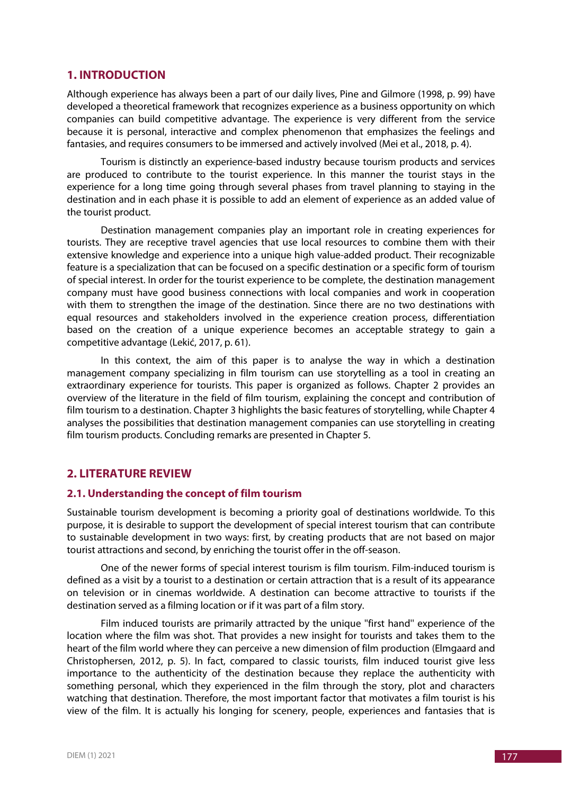## **1. INTRODUCTION**

Although experience has always been a part of our daily lives, Pine and Gilmore (1998, p. 99) have developed a theoretical framework that recognizes experience as a business opportunity on which companies can build competitive advantage. The experience is very different from the service because it is personal, interactive and complex phenomenon that emphasizes the feelings and fantasies, and requires consumers to be immersed and actively involved (Mei et al., 2018, p. 4).

Tourism is distinctly an experience-based industry because tourism products and services are produced to contribute to the tourist experience. In this manner the tourist stays in the experience for a long time going through several phases from travel planning to staying in the destination and in each phase it is possible to add an element of experience as an added value of the tourist product.

Destination management companies play an important role in creating experiences for tourists. They are receptive travel agencies that use local resources to combine them with their extensive knowledge and experience into a unique high value-added product. Their recognizable feature is a specialization that can be focused on a specific destination or a specific form of tourism of special interest. In order for the tourist experience to be complete, the destination management company must have good business connections with local companies and work in cooperation with them to strengthen the image of the destination. Since there are no two destinations with equal resources and stakeholders involved in the experience creation process, differentiation based on the creation of a unique experience becomes an acceptable strategy to gain a competitive advantage (Lekić, 2017, p. 61).

In this context, the aim of this paper is to analyse the way in which a destination management company specializing in film tourism can use storytelling as a tool in creating an extraordinary experience for tourists. This paper is organized as follows. Chapter 2 provides an overview of the literature in the field of film tourism, explaining the concept and contribution of film tourism to a destination. Chapter 3 highlights the basic features of storytelling, while Chapter 4 analyses the possibilities that destination management companies can use storytelling in creating film tourism products. Concluding remarks are presented in Chapter 5.

# **2. LITERATURE REVIEW**

#### **2.1. Understanding the concept of film tourism**

Sustainable tourism development is becoming a priority goal of destinations worldwide. To this purpose, it is desirable to support the development of special interest tourism that can contribute to sustainable development in two ways: first, by creating products that are not based on major tourist attractions and second, by enriching the tourist offer in the off-season.

One of the newer forms of special interest tourism is film tourism. Film-induced tourism is defined as a visit by a tourist to a destination or certain attraction that is a result of its appearance on television or in cinemas worldwide. A destination can become attractive to tourists if the destination served as a filming location or if it was part of a film story.

Film induced tourists are primarily attracted by the unique "first hand" experience of the location where the film was shot. That provides a new insight for tourists and takes them to the heart of the film world where they can perceive a new dimension of film production (Elmgaard and Christophersen, 2012, p. 5). In fact, compared to classic tourists, film induced tourist give less importance to the authenticity of the destination because they replace the authenticity with something personal, which they experienced in the film through the story, plot and characters watching that destination. Therefore, the most important factor that motivates a film tourist is his view of the film. It is actually his longing for scenery, people, experiences and fantasies that is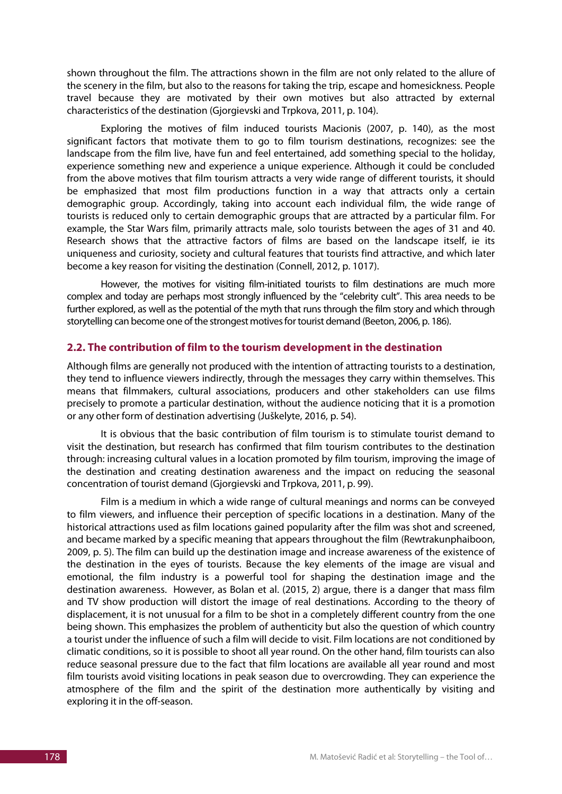shown throughout the film. The attractions shown in the film are not only related to the allure of the scenery in the film, but also to the reasons for taking the trip, escape and homesickness. People travel because they are motivated by their own motives but also attracted by external characteristics of the destination (Gjorgievski and Trpkova, 2011, p. 104).

Exploring the motives of film induced tourists Macionis (2007, p. 140), as the most significant factors that motivate them to go to film tourism destinations, recognizes: see the landscape from the film live, have fun and feel entertained, add something special to the holiday, experience something new and experience a unique experience. Although it could be concluded from the above motives that film tourism attracts a very wide range of different tourists, it should be emphasized that most film productions function in a way that attracts only a certain demographic group. Accordingly, taking into account each individual film, the wide range of tourists is reduced only to certain demographic groups that are attracted by a particular film. For example, the Star Wars film, primarily attracts male, solo tourists between the ages of 31 and 40. Research shows that the attractive factors of films are based on the landscape itself, ie its uniqueness and curiosity, society and cultural features that tourists find attractive, and which later become a key reason for visiting the destination (Connell, 2012, p. 1017).

However, the motives for visiting film-initiated tourists to film destinations are much more complex and today are perhaps most strongly influenced by the "celebrity cult". This area needs to be further explored, as well as the potential of the myth that runs through the film story and which through storytelling can become one of the strongest motives for tourist demand (Beeton, 2006, p. 186).

### **2.2. The contribution of film to the tourism development in the destination**

Although films are generally not produced with the intention of attracting tourists to a destination, they tend to influence viewers indirectly, through the messages they carry within themselves. This means that filmmakers, cultural associations, producers and other stakeholders can use films precisely to promote a particular destination, without the audience noticing that it is a promotion or any other form of destination advertising (Juškelyte, 2016, p. 54).

It is obvious that the basic contribution of film tourism is to stimulate tourist demand to visit the destination, but research has confirmed that film tourism contributes to the destination through: increasing cultural values in a location promoted by film tourism, improving the image of the destination and creating destination awareness and the impact on reducing the seasonal concentration of tourist demand (Gjorgievski and Trpkova, 2011, p. 99).

Film is a medium in which a wide range of cultural meanings and norms can be conveyed to film viewers, and influence their perception of specific locations in a destination. Many of the historical attractions used as film locations gained popularity after the film was shot and screened, and became marked by a specific meaning that appears throughout the film (Rewtrakunphaiboon, 2009, p. 5). The film can build up the destination image and increase awareness of the existence of the destination in the eyes of tourists. Because the key elements of the image are visual and emotional, the film industry is a powerful tool for shaping the destination image and the destination awareness. However, as Bolan et al. (2015, 2) argue, there is a danger that mass film and TV show production will distort the image of real destinations. According to the theory of displacement, it is not unusual for a film to be shot in a completely different country from the one being shown. This emphasizes the problem of authenticity but also the question of which country a tourist under the influence of such a film will decide to visit. Film locations are not conditioned by climatic conditions, so it is possible to shoot all year round. On the other hand, film tourists can also reduce seasonal pressure due to the fact that film locations are available all year round and most film tourists avoid visiting locations in peak season due to overcrowding. They can experience the atmosphere of the film and the spirit of the destination more authentically by visiting and exploring it in the off-season.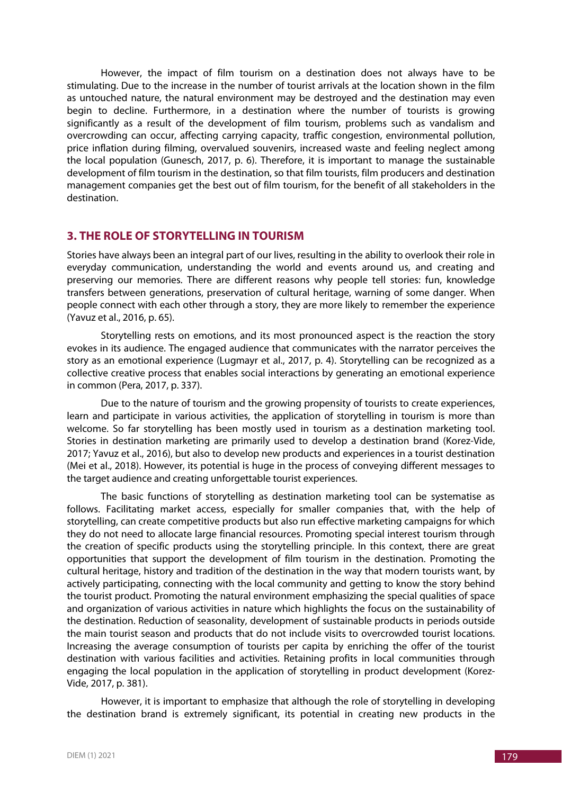However, the impact of film tourism on a destination does not always have to be stimulating. Due to the increase in the number of tourist arrivals at the location shown in the film as untouched nature, the natural environment may be destroyed and the destination may even begin to decline. Furthermore, in a destination where the number of tourists is growing significantly as a result of the development of film tourism, problems such as vandalism and overcrowding can occur, affecting carrying capacity, traffic congestion, environmental pollution, price inflation during filming, overvalued souvenirs, increased waste and feeling neglect among the local population (Gunesch, 2017, p. 6). Therefore, it is important to manage the sustainable development of film tourism in the destination, so that film tourists, film producers and destination management companies get the best out of film tourism, for the benefit of all stakeholders in the destination.

# **3. THE ROLE OF STORYTELLING IN TOURISM**

Stories have always been an integral part of our lives, resulting in the ability to overlook their role in everyday communication, understanding the world and events around us, and creating and preserving our memories. There are different reasons why people tell stories: fun, knowledge transfers between generations, preservation of cultural heritage, warning of some danger. When people connect with each other through a story, they are more likely to remember the experience (Yavuz et al., 2016, p. 65).

Storytelling rests on emotions, and its most pronounced aspect is the reaction the story evokes in its audience. The engaged audience that communicates with the narrator perceives the story as an emotional experience (Lugmayr et al., 2017, p. 4). Storytelling can be recognized as a collective creative process that enables social interactions by generating an emotional experience in common (Pera, 2017, p. 337).

Due to the nature of tourism and the growing propensity of tourists to create experiences, learn and participate in various activities, the application of storytelling in tourism is more than welcome. So far storytelling has been mostly used in tourism as a destination marketing tool. Stories in destination marketing are primarily used to develop a destination brand (Korez-Vide, 2017; Yavuz et al., 2016), but also to develop new products and experiences in a tourist destination (Mei et al., 2018). However, its potential is huge in the process of conveying different messages to the target audience and creating unforgettable tourist experiences.

The basic functions of storytelling as destination marketing tool can be systematise as follows. Facilitating market access, especially for smaller companies that, with the help of storytelling, can create competitive products but also run effective marketing campaigns for which they do not need to allocate large financial resources. Promoting special interest tourism through the creation of specific products using the storytelling principle. In this context, there are great opportunities that support the development of film tourism in the destination. Promoting the cultural heritage, history and tradition of the destination in the way that modern tourists want, by actively participating, connecting with the local community and getting to know the story behind the tourist product. Promoting the natural environment emphasizing the special qualities of space and organization of various activities in nature which highlights the focus on the sustainability of the destination. Reduction of seasonality, development of sustainable products in periods outside the main tourist season and products that do not include visits to overcrowded tourist locations. Increasing the average consumption of tourists per capita by enriching the offer of the tourist destination with various facilities and activities. Retaining profits in local communities through engaging the local population in the application of storytelling in product development (Korez-Vide, 2017, p. 381).

However, it is important to emphasize that although the role of storytelling in developing the destination brand is extremely significant, its potential in creating new products in the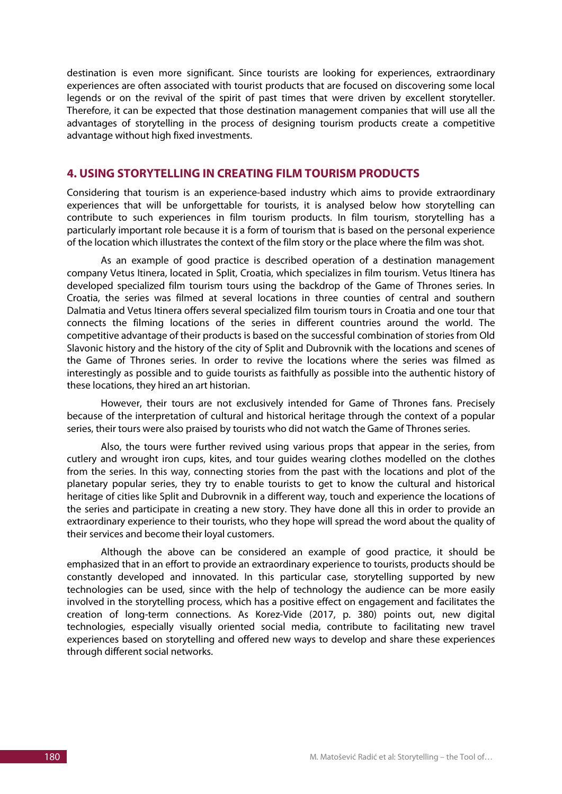destination is even more significant. Since tourists are looking for experiences, extraordinary experiences are often associated with tourist products that are focused on discovering some local legends or on the revival of the spirit of past times that were driven by excellent storyteller. Therefore, it can be expected that those destination management companies that will use all the advantages of storytelling in the process of designing tourism products create a competitive advantage without high fixed investments.

# **4. USING STORYTELLING IN CREATING FILM TOURISM PRODUCTS**

Considering that tourism is an experience-based industry which aims to provide extraordinary experiences that will be unforgettable for tourists, it is analysed below how storytelling can contribute to such experiences in film tourism products. In film tourism, storytelling has a particularly important role because it is a form of tourism that is based on the personal experience of the location which illustrates the context of the film story or the place where the film was shot.

As an example of good practice is described operation of a destination management company Vetus Itinera, located in Split, Croatia, which specializes in film tourism. Vetus Itinera has developed specialized film tourism tours using the backdrop of the Game of Thrones series. In Croatia, the series was filmed at several locations in three counties of central and southern Dalmatia and Vetus Itinera offers several specialized film tourism tours in Croatia and one tour that connects the filming locations of the series in different countries around the world. The competitive advantage of their products is based on the successful combination of stories from Old Slavonic history and the history of the city of Split and Dubrovnik with the locations and scenes of the Game of Thrones series. In order to revive the locations where the series was filmed as interestingly as possible and to guide tourists as faithfully as possible into the authentic history of these locations, they hired an art historian.

However, their tours are not exclusively intended for Game of Thrones fans. Precisely because of the interpretation of cultural and historical heritage through the context of a popular series, their tours were also praised by tourists who did not watch the Game of Thrones series.

Also, the tours were further revived using various props that appear in the series, from cutlery and wrought iron cups, kites, and tour guides wearing clothes modelled on the clothes from the series. In this way, connecting stories from the past with the locations and plot of the planetary popular series, they try to enable tourists to get to know the cultural and historical heritage of cities like Split and Dubrovnik in a different way, touch and experience the locations of the series and participate in creating a new story. They have done all this in order to provide an extraordinary experience to their tourists, who they hope will spread the word about the quality of their services and become their loyal customers.

Although the above can be considered an example of good practice, it should be emphasized that in an effort to provide an extraordinary experience to tourists, products should be constantly developed and innovated. In this particular case, storytelling supported by new technologies can be used, since with the help of technology the audience can be more easily involved in the storytelling process, which has a positive effect on engagement and facilitates the creation of long-term connections. As Korez-Vide (2017, p. 380) points out, new digital technologies, especially visually oriented social media, contribute to facilitating new travel experiences based on storytelling and offered new ways to develop and share these experiences through different social networks.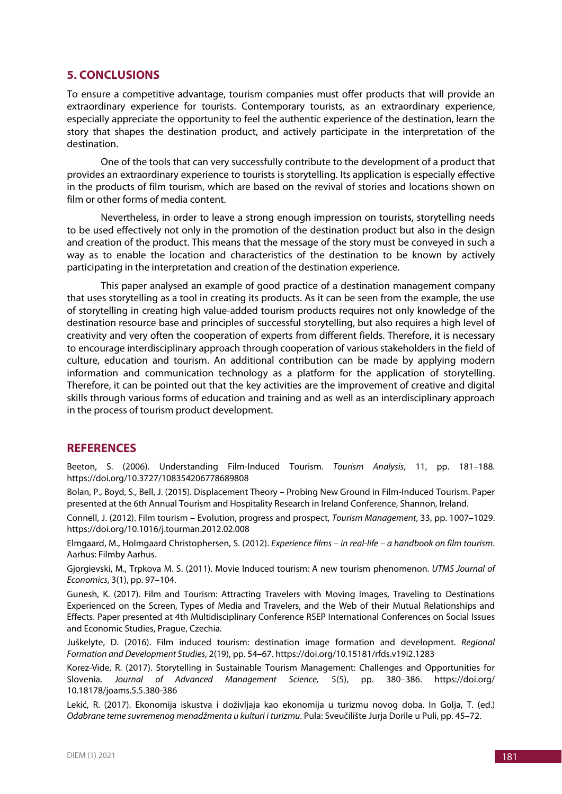## **5. CONCLUSIONS**

To ensure a competitive advantage, tourism companies must offer products that will provide an extraordinary experience for tourists. Contemporary tourists, as an extraordinary experience, especially appreciate the opportunity to feel the authentic experience of the destination, learn the story that shapes the destination product, and actively participate in the interpretation of the destination.

One of the tools that can very successfully contribute to the development of a product that provides an extraordinary experience to tourists is storytelling. Its application is especially effective in the products of film tourism, which are based on the revival of stories and locations shown on film or other forms of media content.

Nevertheless, in order to leave a strong enough impression on tourists, storytelling needs to be used effectively not only in the promotion of the destination product but also in the design and creation of the product. This means that the message of the story must be conveyed in such a way as to enable the location and characteristics of the destination to be known by actively participating in the interpretation and creation of the destination experience.

This paper analysed an example of good practice of a destination management company that uses storytelling as a tool in creating its products. As it can be seen from the example, the use of storytelling in creating high value-added tourism products requires not only knowledge of the destination resource base and principles of successful storytelling, but also requires a high level of creativity and very often the cooperation of experts from different fields. Therefore, it is necessary to encourage interdisciplinary approach through cooperation of various stakeholders in the field of culture, education and tourism. An additional contribution can be made by applying modern information and communication technology as a platform for the application of storytelling. Therefore, it can be pointed out that the key activities are the improvement of creative and digital skills through various forms of education and training and as well as an interdisciplinary approach in the process of tourism product development.

### **REFERENCES**

Beeton, S. (2006). Understanding Film-Induced Tourism. *Tourism Analysis*, 11, pp. 181–188. https://doi.org/10.3727/108354206778689808

Bolan, P., Boyd, S., Bell, J. (2015). Displacement Theory – Probing New Ground in Film-Induced Tourism. Paper presented at the 6th Annual Tourism and Hospitality Research in Ireland Conference, Shannon, Ireland.

Connell, J. (2012). Film tourism – Evolution, progress and prospect, *Tourism Management*, 33, pp. 1007–1029. https://doi.org/10.1016/j.tourman.2012.02.008

Elmgaard, M., Holmgaard Christophersen, S. (2012). *Experience films – in real-life – a handbook on film tourism*. Aarhus: Filmby Aarhus.

Gjorgievski, M., Trpkova M. S. (2011). Movie Induced tourism: A new tourism phenomenon. *UTMS Journal of Economics*, 3(1), pp. 97–104.

Gunesh, K. (2017). Film and Tourism: Attracting Travelers with Moving Images, Traveling to Destinations Experienced on the Screen, Types of Media and Travelers, and the Web of their Mutual Relationships and Effects. Paper presented at 4th Multidisciplinary Conference RSEP International Conferences on Social Issues and Economic Studies, Prague, Czechia.

Juškelyte, D. (2016). Film induced tourism: destination image formation and development. *Regional Formation and Development Studies*, 2(19), pp. 54–67. https://doi.org/10.15181/rfds.v19i2.1283

Korez-Vide, R. (2017). Storytelling in Sustainable Tourism Management: Challenges and Opportunities for Slovenia. *Journal of Advanced Management Science,* 5(5), pp. 380–386. https://doi.org/ 10.18178/joams.5.5.380-386

Lekić, R. (2017). Ekonomija iskustva i doživljaja kao ekonomija u turizmu novog doba. In Golja, T. (ed.) *Odabrane teme suvremenog menadžmenta u kulturi i turizmu*. Pula: Sveučilište Jurja Dorile u Puli, pp. 45–72.